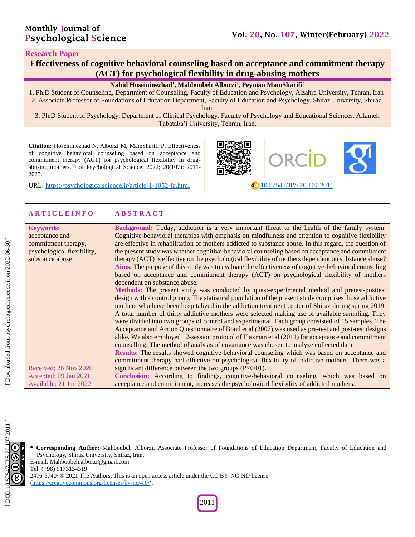#### **Research Paper**

**Effectiveness of cognitive behavioral counseling based on acceptance and commitment therapy (ACT) for psychological flexibility in drug -abusing mothers**

#### **Nahid Hoseininezhad 1 , Mahboubeh Alborzi 2 , Peyman MamSharifi 3**

1. Ph .D Student of Counseling, Department of Counseling, Faculty of Education and Psychology, Alzahra University, Tehran, Iran . 2. Associate Professor of Foundations of Education Department, Faculty of Education and Psychology, Shiraz University, Shiraz,

Iran .

3. Ph .D Student of Psychology, Department of Clinical Psychology, Faculty of Psychology and Educational Sciences, Allameh Tabataba'i University, Tehran, Iran .

**Citation:** Hoseininezhad N, Alborzi M, MamSharifi P. Effectiveness of cognitive behavioral counseling based on acceptance and commitment therapy (ACT) for psychological flexibility in drug abusing mothers. J of Psychological Science. 2022; 20(107): 2011-2025 .

URL: [https://psychologicalscience.ir/article](https://psychologicalscience.ir/article-1-1052-fa.html)-1-1052



#### **A R T I C L E I N F O A B S T R A C T**

| <b>Keywords:</b><br>acceptance and | Background: Today, addiction is a very important threat to the health of the family system.<br>Cognitive-behavioral therapies with emphasis on mindfulness and attention to cognitive flexibility |
|------------------------------------|---------------------------------------------------------------------------------------------------------------------------------------------------------------------------------------------------|
|                                    |                                                                                                                                                                                                   |
| commitment therapy,                | are effective in rehabilitation of mothers addicted to substance abuse. In this regard, the question of                                                                                           |
| psychological flexibility,         | the present study was whether cognitive-behavioral counseling based on acceptance and commitment                                                                                                  |
| substance abuse                    | therapy (ACT) is effective on the psychological flexibility of mothers dependent on substance abuse?                                                                                              |
|                                    | Aims: The purpose of this study was to evaluate the effectiveness of cognitive-behavioral counseling                                                                                              |
|                                    | based on acceptance and commitment therapy (ACT) on psychological flexibility of mothers<br>dependent on substance abuse.                                                                         |
|                                    | Methods: The present study was conducted by quasi-experimental method and pretest-posttest                                                                                                        |
|                                    | design with a control group. The statistical population of the present study comprises those addictive                                                                                            |
|                                    | mothers who have been hospitalized in the addiction treatment center of Shiraz during spring 2019.                                                                                                |
|                                    | A total number of thirty addictive mothers were selected making use of available sampling. They                                                                                                   |
|                                    |                                                                                                                                                                                                   |
|                                    | were divided into two groups of control and experimental. Each group consisted of 15 samples. The                                                                                                 |
|                                    | Acceptance and Action Questionnaire of Bond et al (2007) was used as pre-test and post-test designs                                                                                               |
|                                    | alike. We also employed 12-session protocol of Flaxman et al (2011) for acceptance and commitment                                                                                                 |
|                                    | counselling. The method of analysis of covariance was chosen to analyze collected data.                                                                                                           |
|                                    | Results: The results showed cognitive-behavioral counseling which was based on acceptance and                                                                                                     |
|                                    | commitment therapy had effective on psychological flexibility of addictive mothers. There was a                                                                                                   |
| Received: 26 Nov 2020              | significant difference between the two groups $(P<0/01)$ .                                                                                                                                        |
| Accepted: 09 Jan 2021              | Conclusion: According to findings, cognitive-behavioral counseling, which was based on                                                                                                            |
| Available: 21 Jan 2022             | acceptance and commitment, increases the psychological flexibility of addicted mothers.                                                                                                           |
|                                    |                                                                                                                                                                                                   |

**\* Corresponding Author:** Mahboubeh Alborzi, Associate Professor of Foundations of Education Department, Faculty of Education and Psychology, Shiraz University, Shiraz, Iran. E -mail: Mahboobeh.alborzi@gmail.com Tel: (+98) 9173134319

2476-5740/ © 2021 The Authors. This is an open access article under the CC BY-NC-ND license [\(https://creativecommons.org/licenses/by](https://creativecommons.org/licenses/by-nc/4.0/) -nc/4.0/).

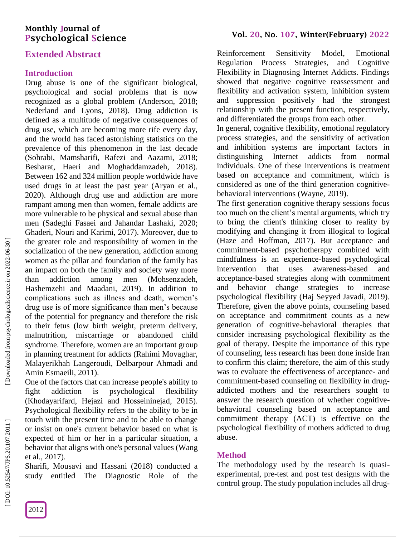## **Extended Abstract**

## **Introduction**

Drug abuse is one of the significant biological, psychological and social problems that is now recognized as a global problem (Anderson, 2018; Nederland and Lyons, 2018). Drug addiction is defined as a multitude of negative consequences of drug use, which are becoming more rife every day, and the world has faced astonishing statistics on the prevalence of this phenomenon in the last decade (Sohrabi, Mamsharifi, Rafezi and Aazami, 2018; Besharat, Haeri and Moghaddamzadeh, 2018). Between 162 and 324 million people worldwide have used drugs in at least the past year (Aryan et al., 2020). Although drug use and addiction are more rampant among men than women, female addicts are more vulnerable to be physical and sexual abuse than men (Sadeghi Fasaei and Jahandar Lashaki, 2020; Ghaderi, Nouri and Karimi, 2017). Moreover, due to the greater role and responsibility of women in the socialization of the new generation, addiction among women as the pillar and foundation of the family has an impact on both the family and society way more than addiction among men (Mohsenzadeh, Hashemzehi and Maadani, 2019). In addition to complications such as illness and death, women's drug use is of more significance than men's because of the potential for pregnancy and therefore the risk to their fetus (low birth weight, preterm delivery, malnutrition, miscarriage or abandoned child syndrome. Therefore, women are an important group in planning treatment for addicts (Rahimi Movaghar, Malayerikhah Langeroudi, Delbarpour Ahmadi and Amin Esmaeili, 2011).

One of the factors that can increase people's ability to fight addiction is psychological flexibility (Khodayarifard, Hejazi and Hosseininejad, 2015). Psychological flexibility refers to the ability to be in touch with the present time and to be able to change or insist on one's current behavior based on what is expected of him or her in a particular situation, a behavior that aligns with one's personal values (Wang et al., 2017).

Sharifi, Mousavi and Hassani (2018) conducted a study entitled The Diagnostic Role of the

Reinforcement Sensitivity Model, Emotional Regulation Process Strategies, and Cognitive Flexibility in Diagnosing Internet Addicts. Findings showed that negative cognitive reassessment and flexibility and activation system, inhibition system and suppression positively had the strongest relationship with the present function, respectively, and differentiated the groups from each other.

In general, cognitive flexibility, emotional regulatory process strategies, and the sensitivity of activation and inhibition systems are important factors in distinguishing Internet addicts from normal individuals. One of these interventions is treatment based on acceptance and commitment, which is considered as one of the third generation cognitive behavioral interventions (Wayne, 2019).

The first generation cognitive therapy sessions focus too much on the client's mental arguments, which try to bring the client's thinking closer to reality by modifying and changing it from illogical to logical (Haze and Hoffman, 2017). But acceptance and commitment -based psychotherapy combined with mindfulness is an experience -based psychological intervention that uses awareness-based and acceptance -based strategies along with commitment and behavior change strategies to increase psychological flexibility (Haj Seyyed Javadi, 2019). Therefore, given the above points, counseling based on acceptance and commitment counts as a new generation of cognitive -behavioral therapies that consider increasing psychological flexibility as the goal of therapy. Despite the importance of this type of counseling, less research has been done inside Iran to confirm this claim; therefore, the aim of this study was to evaluate the effectiveness of acceptance- and commitment -based counseling on flexibility in drug addicted mothers and the researchers sought to answer the research question of whether cognitive behavioral counseling based on acceptance and commitment therapy (ACT) is effective on the psychological flexibility of mothers addicted to drug abuse.

### **Method**

The methodology used by the research is quasi experimental, pre -test and post test designs with the control group. The study population includes all drug -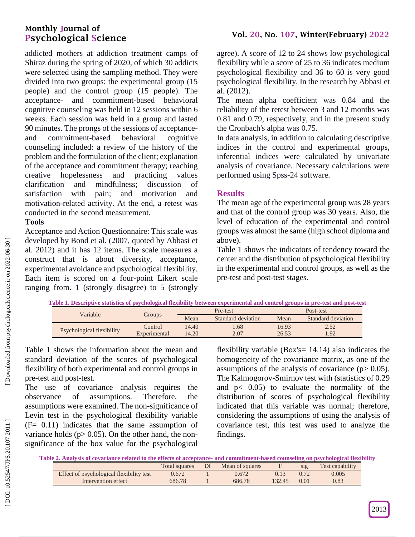addicted mothers at addiction treatment camps of Shiraz during the spring of 2020, of which 30 addicts were selected using the sampling method. They were divided into two groups: the experimental group (15 people) and the control group (15 people). The acceptance - and commitment -based behavioral cognitive counseling was held in 12 sessions within 6 weeks. Each session was held in a group and lasted 90 minutes. The prongs of the sessions of acceptance and commitment behavioral cognitive counseling included: a review of the history of the problem and the formulation of the client; explanation of the acceptance and commitment therapy; reaching creative hopelessness and practicing values clarification and mindfulness; discussion of satisfaction with pain; and motivation and motivation -related activity. At the end, a retest was conducted in the second measurement.

# **Tools**

Acceptance and Action Questionnaire: This scale was developed by Bond et al. (2007, quoted by Abbasi et al. 2012) and it has 12 items. The scale measures a construct that is about diversity, acceptance, experimental avoidance and psychological flexibility. Each item is scored on a four -point Likert scale ranging from. 1 (strongly disagree) to 5 (strongly

agree). A score of 12 to 24 shows low psychological flexibility while a score of 25 to 36 indicates medium psychological flexibility and 36 to 60 is very good psychological flexibility. In the research by Abbasi et al. (2012).

The mean alpha coefficient was 0.84 and the reliability of the retest between 3 and 12 months was 0.81 and 0.79, respectively, and in the present study the Cronbach's alpha was 0.75.

In data analysis, in addition to calculating descriptive indices in the control and experimental groups, inferential indices were calculated by univariate analysis of covariance. Necessary calculations were performed using Spss -24 software.

### **Results**

The mean age of the experimental group was 28 years and that of the control group was 30 years. Also, the level of education of the experimental and control groups was almost the same (high school diploma and above).

Table 1 shows the indicators of tendency toward the center and the distribution of psychological flexibility in the experimental and control groups, as well as the pre -test and post -test stages.

|  | Table 1. Descriptive statistics of psychological flexibility between experimental and control groups in pre-test and post-test |  |
|--|--------------------------------------------------------------------------------------------------------------------------------|--|
|  |                                                                                                                                |  |

| Variable                  |              |       | Pre-test           | Post-test |                    |  |
|---------------------------|--------------|-------|--------------------|-----------|--------------------|--|
|                           | Groups       | Mean  | Standard deviation | Mean      | Standard deviation |  |
| Psychological flexibility | Control      | 14.40 | .68                | 16.93     | 2.52               |  |
|                           | Experimental | 14.20 | 2.07               | 26.53     | 1.92               |  |

Table 1 shows the information about the mean and standard deviation of the scores of psychological flexibility of both experimental and control groups in pre -test and post -test.

The use of covariance analysis requires the observance of assumptions. Therefore, the assumptions were examined. The non -significance of Levin test in the psychological flexibility variable (F= 0.11) indicates that the same assumption of variance holds ( $p > 0.05$ ). On the other hand, the nonsignificance of the box value for the psychological

flexibility variable (Box's=  $14.14$ ) also indicates the homogeneity of the covariance matrix, as one of the assumptions of the analysis of covariance  $(p > 0.05)$ . The Kalmogorov -Smirnov test with (statistics of 0.29 and p < 0.05) to evaluate the normality of the distribution of scores of psychological flexibility indicated that this variable was normal; therefore, considering the assumptions of using the analysis of covariance test, this test was used to analyze the findings.

**Table 2 . Analysis of covariance related to the effects of acceptance - and commitment -based counseling on psychological flexibility**

|                                          | Total squares | Mean of squares |        | S1Q  | <b>Test capability</b> |
|------------------------------------------|---------------|-----------------|--------|------|------------------------|
| Effect of psychological flexibility test | 0.672         | 0.672           |        |      | 0.005                  |
| Intervention effect                      | 686.78        | 686.78          | 132.45 | 0.01 | $0.83\,$               |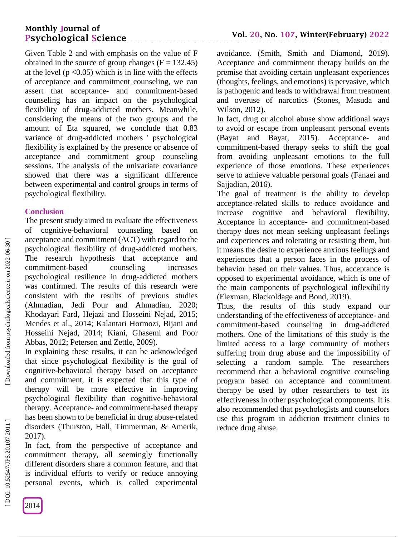Given Table 2 and with emphasis on the value of F obtained in the source of group changes  $(F = 132.45)$ at the level  $(p \le 0.05)$  which is in line with the effects of acceptance and commitment counseling, we can assert that acceptance - and commitment -based counseling has an impact on the psychological flexibility of drug -addicted mothers. Meanwhile, considering the means of the two groups and the amount of Eta squared, we conclude that 0.83 variance of drug -addicted mothers ' psychological flexibility is explained by the presence or absence of acceptance and commitment group counseling sessions. The analysis of the univariate covariance showed that there was a significant difference between experimental and control groups in terms of psychological flexibility.

\_\_\_\_\_\_\_\_\_\_\_\_\_\_\_\_\_\_\_\_\_

### **Conclusion**

The present study aimed to evaluate the effectiveness of cognitive -behavioral counseling based on acceptance and commitment (ACT) with regard to the psychological flexibility of drug -addicted mothers. The research hypothesis that acceptance and commitment counseling increases psychological resilience in drug -addicted mothers was confirmed. The results of this research were consistent with the results of previous studies (Ahmadian, Jedi Pour and Ahmadian, 2020; Khodayari Fard, Hejazi and Hosseini Nejad, 2015; Mendes et al., 2014; Kalantari Hormozi, Bijani and Hosseini Nejad, 2014; Kiani, Ghasemi and Poor Abbas, 2012; Petersen and Zettle, 2009).

In explaining these results, it can be acknowledged that since psychological flexibility is the goal of cognitive -behavioral therapy based on acceptance and commitment, it is expected that this type of therapy will be more effective in improving psychological flexibility than cognitive -behavioral therapy. Acceptance - and commitment -based therapy has been shown to be beneficial in drug abuse -related disorders (Thurston, Hall, Timmerman, & Amerik, 2017).

In fact, from the perspective of acceptance and commitment therapy, all seemingly functionally different disorders share a common feature, and that is individual efforts to verify or reduce annoying personal events, which is called experimental

avoidance. (Smith, Smith and Diamond, 2019). Acceptance and commitment therapy builds on the premise that avoiding certain unpleasant experiences (thoughts, feelings, and emotions) is pervasive, which is pathogenic and leads to withdrawal from treatment and overuse of narcotics (Stones, Masuda and Wilson, 2012).

In fact, drug or alcohol abuse show additional ways to avoid or escape from unpleasant personal events (Bayat and Bayat, 2015). Acceptance- and commitment -based therapy seeks to shift the goal from avoiding unpleasant emotions to the full experience of those emotions. These experiences serve to achieve valuable personal goals (Fanaei and Sajjadian, 2016).

The goal of treatment is the ability to develop acceptance -related skills to reduce avoidance and increase cognitive and behavioral flexibility. Acceptance in acceptance - and commitment -based therapy does not mean seeking unpleasant feelings and experiences and tolerating or resisting them, but it means the desire to experience anxious feelings and experiences that a person faces in the process of behavior based on their values. Thus, acceptance is opposed to experimental avoidance, which is one of the main components of psychological inflexibility (Flexman, Blackoldage and Bond, 2019).

Thus, the results of this study expand our understanding of the effectiveness of acceptance - and commitment -based counseling in drug -addicted mothers. One of the limitations of this study is the limited access to a large community of mothers suffering from drug abuse and the impossibility of selecting a random sample. The researchers recommend that a behavioral cognitive counseling program based on acceptance and commitment therapy be used by other researchers to test its effectiveness in other psychological components. It is also recommended that psychologists and counselors use this program in addiction treatment clinics to reduce drug abuse.

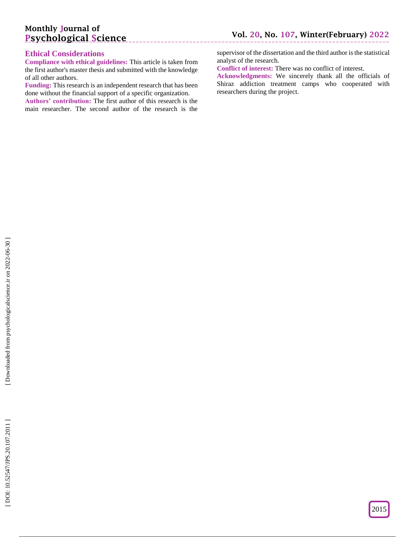#### **Ethical Considerations**

**Compliance with ethical guidelines:** This article is taken from the first author's master thesis and submitted with the knowledge of all other authors.

**Funding:** This research is an independent research that has been done without the financial support of a specific organization.

**Authors' contribution:** The first author of this research is the main researcher. The second author of the research is the supervisor of the dissertation and the third author is the statistical analyst of the research.

**Conflict of interest:** There was no conflict of interest.

**Acknowledgments:** We sincerely thank all the officials of Shiraz addiction treatment camps who cooperated with researchers during the project.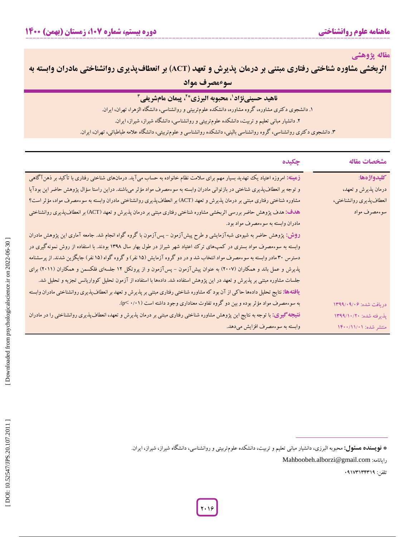**مقاله پژوهشی**

**اثربخشی مشاوره شناختی رفتاری مبتنی بر درمان پذیرش و تعهد (ACT) بر انعطاف<b>پذیری روانشناختی مادران وابسته به سوءمصرف مواد**

## **ناهید حسینینژاد 6 ، محبوبه البرزی\* 0 ، پیمان مامشریفی**

**ناهید حسینینژاد'، محبوبه البرزی\*'، پیمان مامشریفی ''**<br>. دانشجوی دکتری مشاوره، گروه مشاوره، دانشکده علومتربیتی و روانشناسی، دانشگاه الزهرا، تهران، ایران. ۱. دانشجوی د کتری مشاوره، گروه مشاوره، دانشکده علومتربیتی و روانشناسی، دانشکاه الزهرا، تهران، ایران.<br>۲. دانشجوی دکتری روانشناسی، گروه روانشناسی بالینی، دانشکده علومتربیتی و روانشناسی، دانشگاه شیراز، شیراز، ایران<br>۳. دانشجو

| مشخصات مقاله              | چکیده                                                                                                                                    |
|---------------------------|------------------------------------------------------------------------------------------------------------------------------------------|
| كليدواژهها:               | زهینه: امروزه اعتیاد یک تهدید بسیار مهم برای سلامت نظام خانواده به حساب میآید. درمانهای شناختی رفتاری با تأکید بر ذهنآگاهی               |
| درمان پذیرش و تعهد،       | و توجه بر انعطاف پذیری شناختی در بازتوانی مادران وابسته به سوءمصرف مواد مؤثر میباشند. دراین راستا سؤال پژوهش حاضر این بودآیا             |
| انعطاف پذیری روانشناختی،  | مشاوره شناختی رفتاری مبتنی بر درمان پذیرش و تعهد (ACT) بر انعطافپذیری روانشناختی مادران وابسته به سوءمصرف مواد، مؤثر است؟                |
| سوءمصرف مواد              | هدف: هدف پژوهش حاضر بررسی اثربخشی مشاوره شناختی رفتاری مبتنی بر درمان پذیرش و تعهد (ACT) بر انعطاف پذیری روانشناختی                      |
|                           | مادران وابسته به سوءمصرف مواد بود.                                                                                                       |
|                           | <b>روش: پ</b> ژوهش حاضر به شیوهی شبهآزمایشی و طرح پیشآزمون – پسآزمون با گروه گواه انجام شد. جامعه آماری این پژوهش مادران                 |
|                           | وابسته به سوءمصرف مواد بستری در کمپهای ترک اعتیاد شهر شیراز در طول بهار سال ۱۳۹۸ بودند. با استفاده از روش نمونهگیری در                   |
|                           | دسترس ۳۰ مادر وابسته به سوءمصرف مواد انتخاب شد و در دو گروه آزمایش (۱۵ نفر) و گروه گواه (۱۵ نفر) جایگزین شدند. از پرسشنامه               |
|                           | پذیرش و عمل باند و همکاران (۲۰۰۷) به عنوان پیشآزمون – پسآزمون و از پروتکل ۱۲ جلسهای فلکسمن و همکاران (۲۰۱۱) برای                         |
|                           | جلسات مشاوره مبتنی بر پذیرش و تعهد در این پژوهش استفاده شد. دادهها با استفاده از آزمون تحلیل کوواریانس تجزیه و تحلیل شد.                 |
|                           | <b>یافتهها:</b> نتایج تحلیل دادهها حاکی از آن بود که مشاوره شناختی رفتاری مبتنی بر پذیرش و تعهد بر انعطاف پذیری روانشناختی مادران وابسته |
| دريافت شده: ١٣٩٩/٠٩/٠٩    | به سوءمصرف مواد مؤثر بوده و بین دو گروه تفاوت معناداری وجود داشته است (۰/۰۱- p<).                                                        |
| بِذَيرفته شده: ١٣٩٩/١٠/٢٠ | <b>نتیجه گیری:</b> با توجه به نتایج این پژوهش مشاوره شناختی رفتاری مبتنی بر درمان پذیرش و تعهد، انعطافپذیری روانشناختی را در مادران      |
| منتشر شده: ۱۴۰۰/۱۱/۰۱     | وابسته به سوءمصرف افزایش میدهد.                                                                                                          |
|                           |                                                                                                                                          |
|                           | * <b>نویسنده هسئول:</b> محبوبه البرزی، دانشیار مبانی تعلیم و تربیت، دانشکده علوم¤ربیتی و روانشناسی، دانشگاه شیراز، شیراز، ایران.         |

تلفن: 10023030300

Mahboobeh.alborzi@gmail.com :رایانامه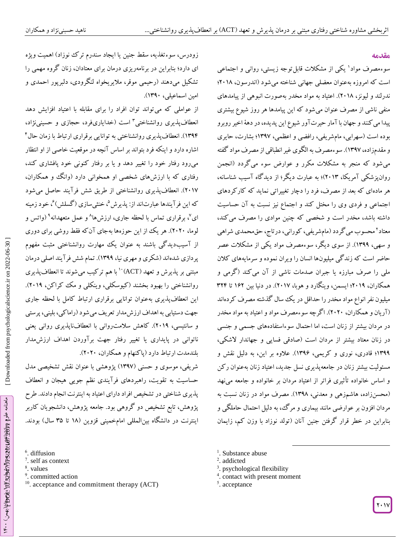#### **مقدمه**

سوءمصرف مواد 0 یکی از مشکالت قابلتوجه زیستی، روانی و اجتماعی است که امروزه بهعنوان معضلی جهانی شناخته میشود )اندرسون، 6101؛ ندرلند و لیونز، ۲۰۱۸). اعتیاد به مواد مخدر بهصورت انبوهی از پیامدهای منفی ناشی از مصرف عنوان میشود که این پیامدها هر روز شیوع بیشتری پیدا میکنند و جهان با آمار حیرتآور شیوع این پدیده، در دهة اخیر روبرو بوده است )سهرابی، مامشریفی، رافضی و اعظمی، 0302؛ بشارت، حایری و مقدمزاده، 0302(. سوءمصرف به الگوی غیر انطباقی از مصرف مواد گفته میشود که منجر به مشکلات مکرر و عوارض سوء میگردد (انجمن<br>روان، شکی آمریکا، ۲۰۱۳)؛ به عبارت دیگر؛ از دیدگاه آسیب شناسانه، هر مادهای که بعد از مصرف، فرد را دچار تغییراتی نماید که کارکردهای اجتماعی و فردی وی را مختل کند و اجتماع نیز نسبت به آن حساسیت داشته باشد، مخدر است و شخصی که چنین موادی را مصرف میکند، معتاد 6 محسوب میگردد )مامشریفی، کورانی، درتاج، حقمحمدی شراهی و سهی، 0300(. از سوی دیگر، سوءمصرف مواد یکی از مشکالت عصر حاضر است که زندگی میلیونها انسان را ویران نموده و سرمایههای کالن ملی را صرف مبارزه یا جبران صدمات ناشی از آن میکند )گرمی و همکاران، 6100؛ ایسمن، وینگارد و هوبا، 6102(. در دنیا بین 026 تا 360 میلیون نفر انواع مواد مخدر را حداقل در یک سال گذشته مصرف کردهاند )آریان و همکاران، 6161(. اگرچه سوءمصرف مواد و اعتیاد به مواد مخدر در مردان بیشتر از زنان است، اما احتمال سوءاستفادههای جسمی و جنسی در زنان معتاد بیشتر از مردان است (صادقی فسایی و جهاندار لاشکی، 0300؛ قادری، نوری و کریمی، 0302(. عالوه بر این، به دلیل نقش و مسئولیت بیشتر زنان در جامعهپذیری نسل جدید، اعتیاد زنان بهعنوان رکن و اساس خانواده تأثیری فراتر از اعتیاد مردان بر خانواده و جامعه مینهد )محسنزاده، هاشمزهی و معدنی، 0301(. مصرف مواد در زنان نسبت به مردان افزون بر عوارضی مانند بیماری و مرک، به دلیل احتمال حاملکی و بنابراین در خطر قرار کرفتن جنین آنان (تولد نوزاد با وزن کم، زایمان

زودرس، سوءتغدیه، سقط جنین یا ایجاد سندرم تر ک نوزاد) اهمیت ویژه ای دارد؛ بنابراین در برنامهریزی درمان برای معتادان، زنان کروه مهمی را تشکیل میدهند (رحیمی موقر، ملایریخواه لنگرودی، دلبرپور احمدی و امین اسماعیلی، ۱۳۹۰).

از عواملی که میتواند توان افراد را برای مقابله با اعتیاد افزایش دهد انعطافپذیری روانشناختی<sup>۳</sup> است (خدایاریفرد، حجازی و حسینینژاد، ۱۳۹۴). انعطاف پذیری روانشناختی به توانایی برقراری ارتباط با زمان حال۴ اشاره دارد و اینکه فرد بتواند بر اساس آنچه در موقعیت خاصی از او انتظار میرود رفتار خود را تغییر دهد و یا بر رفتار کنونی خود پافشاری کند، رفتاری که با ارزشهای شخصی او همخوانی دارد )وانگ و همکاران، ۲۰۱۷). انعطافپذیری روانشناختی از طریق شش فرآیند حاصل میشود که این فرآیندها عبارتاند از: پذیرش<sup>۵</sup>، خنثیسازی (گسلش)<sup>۶</sup>، خود زمینه ای<sup>۷</sup>، برقراری تماس با لحظه جاری، ارزشها<sup>۸</sup> و عمل متعهدانه<sup>۹</sup> (واتس و لوما، ۲۰۲۰). هر یک از این حوزهها بهجای آنکه فقط روشی برای دوری از آسیبدیدگی باشند به عنوان یک مهارت روانشناختی مثبت مفهوم پردازی شدهاند (شکری و مهری نیا، ۱۳۹۹). تمام شش فرآیند اصلی درمان<br>مبتنی بر پذیرش و تعهد (ACT)<sup>۱۰</sup> با هم ترکیب میشوند تا انعطاف پذیری روانشناختی را بهبود بخشند )کیوسکلی، وینکلی و مک کراکن، 6100(. جاری این انعطافپذیری بهعنوان توانایی برقراری ارتباط کامل با لحظه جهت دستیابی به اهداف ارزش مدار تعریف می شود (راماکی، بلینی، پرستی و سانتیسی، 6100(. کاهش سالمتروانی با انعطافناپذیری روانی یعنی ناتوانی در پایداری یا تغییر رفتار جهت برآوردن اهداف ارزشمدار بلندمدت ارتباط دارد )پاکنهام و همکاران، 6161(.

شریفی، موسوی و حسنی (۱۳۹۷) پژوهشی با عنوان نقش تشخیصی مدل حساسیت به تقویت، راهبردهای فرآیندی نظم جویی هیجان و انعطاف پدیری شناختی در تشخیص افراد دارای اعتیاد به اینترنت انجام دادند. طرح پژوهش، تابع تشخیص دو کروهی بود. جامعه پژوهش، دانشجویان کاربر اینترنت در دانشکاه بین|لمللی امامخمینی قزوین (۱۸ تا ۳۵ سال) بودند.<br>|<br>diffusion \*

<sup>6</sup>. diffusion

- 7 . self as context
- 8 . values
	- 9 . committed action
	- <sup>10</sup>. acceptance and commitment therapy (ACT)

<sup>1</sup>. Substance abuse

- 3 . psychological flexibility
- 4 . contact with present moment

 $\overline{a}$ 

<sup>&</sup>lt;sup>2</sup>. addicted

<sup>5</sup> . acceptance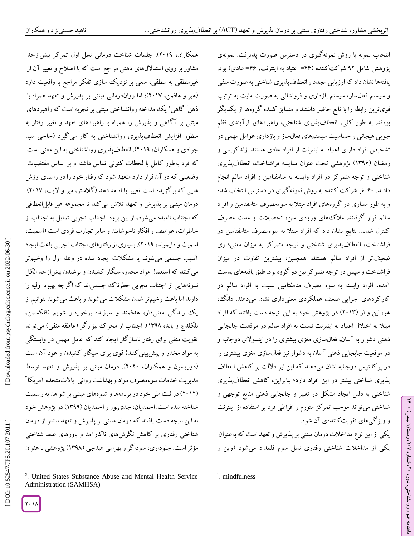همکاران، 6100(. جلسات شناخت درمانی نسل اول تمرکز بیشازحد مشاور بر روی استدلالهای ذهنی مراجع است که با اصلاح و تغییر آن از غیرمنطقی به منطقی، سعی بر نزدیک سازی تفکر مراجع با واقعیت دارد (هیز و هافمن، ۲۰۱۷)؛ اما رواندرمانی مبتنی بر پدیرش و تعهد همراه با ذهن آگاهی ' یک مداخله روانشناختی مبتنی بر تجربه است که راهبردهای مبتنی بر آکاهی و پدیرش را همراه با راهبردهای تعهد و تغییر رفتار به منظور افزایش انعطافپذیری روانشناختی به کار میگیرد )حاجی سید جوادی و همکاران، 6100(. انعطافپذیری روانشناختی به این معنی است بر اساس مقتضیات که فرد بهطور کامل با لحظات کنونی تماس داشته و وضعیتی که در آن قرار دارد متعهد شود که رفتار خود را در راستای ارزش هایی که برگزیده است تغییر یا ادامه دهد )گالستر، میر و الیب، 6102(. درمان مبتنی بر پذیرش و تعهد تلاش میکند تا مجموعه غیر قابل|نعطافی که اجتناب نامیده میشود، از بین برود. اجتناب تجربی تمایل به اجتناب از خاطرات، عواطف و افکار ناخوشایند و سایر تجارب فردی است )اسمیث، اسمیث و دایموند، 6100(. بسیاری از رفتارهای اجتناب تجربی باعث ایجاد جسمی میشوند یا مشکالت ایجاد شده در وهله اول را وخیمتر آسیب می کنند که استعمال مواد مخدر، سیگار کشیدن و نوشیدن بیش(زحد الکل نمونههایی از اجتناب تجربی خطرناک جسمیاند که اگرچه بهبود اولیه را دارند اما باعث وخیمتر شدن مشکالت میشوند و باعث میشوند نتوانیم از یک زندگی معنیدار، هدفمند و سرزنده برخوردار شویم )فلکسمن، بلکلدج و باند، ۱۳۹۸). اجتناب از محرک بیزارگر (عاطفه منفی) میتواند تقویت منفی برای رفتار ناسازگار ایجاد کند که عامل مهمی در وابستگی به مواد مخدر و پیشبینیکنندة قوی برای سیگار کشیدن و عود آن است )دوریسون و همکاران، 6161(. درمان مبتنی بر پذیرش و تعهد توسط مدیریت خدمات سوءمصرف مواد و بهداشت روانی ایالاتمتحده آمریکا<sup>۲</sup> (۲۰۱۲) در ثبت ملی خود در برنامهها و شیوههای مبتنی بر شواهد به رسمیت شناخته شده است. احمدیان، جدیپور و احمدیان )0300( در پژوهش خود به این نتیجه دست یافتند که درمان مبتنی بر پذیرش و تعهد بیشتر از درمان شناختی رفتاری بر کاهش نکرشهای ناکارآمد و باورهای غلط شناختی 2 مؤثر است. جلوداری، سوداگر و بهرامی هیدجی )0301( پژوهشی با عنوان

انتخاب نمونه با روش نمونه کیری در دسترس صورت پدیرفت. نمونهی پژوهش شامل ۹۲ شرکتکننده (۴۶=اعتیاد به اینترنت، ۴۶= عادی) بود. یافتهها نشان داد که ارزیابی مجدد و انعطاف پدیری شناختی به صورت منفی و سیستم فعال $باز، سیستم بازداری و فرونشانی به صورت مثبت به ترتیب$ قویترین رابطه را با تابع حاضر داشتند و متمایز کننده کروهها از یکدیکر بودند. به طور کلی، انعطافپدیری شناختی، راهبردهای فرآیندی نظم جویی هیجانی و حساسیت سیستمهای فعالساز و بازداری عوامل مهمی در تشخیص افراد دارای اعتیاد به اینترنت از افراد عادی هستند. زند کریمی و رمضان (۱۳۹۶) پژوهشی تحت عنوان مقایسه فراشناخت، انعطافپذیری شناختی و توجه متمرکز در افراد وابسته به متامفتامین و افراد سالم انجام دادند. 21 نفر شرکت کننده به روش نمونهگیری در دسترس انتخاب شده و به طور مساوی در گروههای افراد مبتال به سوءمصرف متامفتامین و افراد سالم قرار گرفتند. مالکهای ورودی سن، تحصیالت و مدت مصرف کنترل شدند. نتایج نشان داد که افراد مبتال به سوءمصرف متامفتامین در فراشناخت، انعطافپذیری شناختی و توجه متمرکز به میزان معنیداری ضعیفتر از افراد سالم هستند. همچنین، بیشترین تفاوت در میزان فراشناخت و سپس در توجه متمرکز بین دو گروه بود. طبق یافتههای بدست آمده، افراد وابسته به سوء مصرف متامفتامین نسبت به افراد سالم در کارکردهای اجرایی ضعف عملکردی معنیداری نشان میدهند. دانگ، هو، لین و لو )6103( در پژوهش خود به این نتیجه دست یافتند که افراد مبتلا به اختلال اعتیاد به اینترنت نسبت به افراد سالم در موقعیت جابجایی دشوار به آسان، فعالسازی مغزی بیشتری را در اینسوالی دوجانبه و ذهنی در موقعیت جابجایی دهنی آسان به دشوار نیز فعال $u$ ازی مغزی بیشتری را در پر کانئوس دوجانبه نشان میدهند که این نیز دلالت بر کاهش انعطاف پذیری شناختی بیشتر در این افراد دارد؛ بنابراین، کاهش انعطافپذیری شناختی به دلیل ایجاد مشکل در تغییر و جابجایی دهنی منابع توجهی و شناختی می تواند موجب تمر کز متورم و افراطی فرد بر استفاده از اینترنت و ویژ کیهای تقویت کنندهی آن شود. یکی ازاین نوع مداخالت درمان مبتنی بر پذیرش و تعهد است که بهعنوان

یکی از مداخالت شناختی رفتاری نسل سوم قلمداد میشود )وین و

 $\overline{\phantom{a}}$ 

るこ

، زمستان)بهمن( 012

، شماره 61

ماهنامه علوم روانشناختی، دوره



<sup>.</sup> United States Substance Abuse and Mental Health Service Administration (SAMHSA)

<sup>&</sup>lt;sup>1</sup>. mindfulness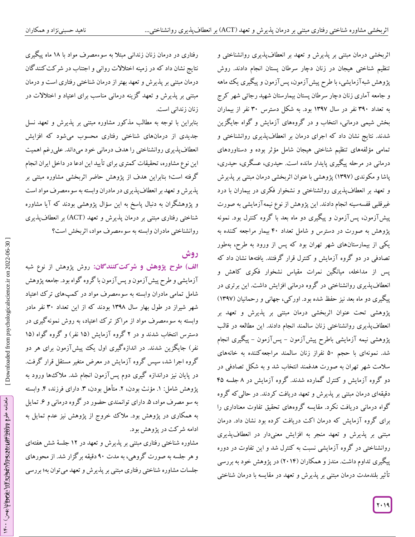رفتاری در درمان زنان زندانی مبتال به سوءمصرف مواد با 01 ماه پیگیری نتایج نشان داد که در زمینه اختالالت روانی و اجتناب در شرکتکنندگان درمان مبتنی بر پدیرش و تعهد بهتر از درمان شناختی رفتاری است و درمان مبتنی بر پذیرش و تعهد گزینه درمانی مناسب برای اعتیاد و اختالالت در زنان زندانی است.

بنابراین با توجه به مطالب مذکور مشاوره مبتنی بر پذیرش و تعهد نسل جدیدی از درمانهای شناختی رفتاری محسوب میشود که افزایش انعطافپذیری روانشناختی را هدف درمانی خود میداند. علیرغم اهمیت این نوع مشاوره، تحقیقات کمتری برای تأیید این ادعا در داخل ایران انجام گرفته است؛ بنابراین هدف از پژوهش حاضر اثربخشی مشاوره مبتنی بر پذیرش و تعهد بر انعطافپذیری در مادران وابسته به سوءمصرف مواد است و پژوهشگران به دنبال پاسخ به این سؤال پژوهشی بودند که آیا مشاوره شناختی رفتاری مبتنی بر درمان پذیرش و تعهد (ACT) بر انعطافپذیری روانشناختی مادران وابسته به سوءمصرف مواد، اثربخش است؟

# **روش**

ا**ل**ف) طرح پژوهش و شرکت کنندگان: روش پژوهش از نوع شبه آزمایشی و طرح پیش ازمون و پس ازمون با کروه کواه بود. جامعه پژوهش مادران وابسته به سوءمصرف مواد در کمپهای ترک اعتیاد شامل تمامی شهر شیراز در طول بهار سال ۱۳۹۸ بودند که از این تعداد ۳۰ نفر مادر وابسته به سوءمصرف مواد از مراکز ترک اعتیاد، به روش نمونه کیری در دسترس انتخاب شدند و در ۲ گروه آزمایش (۱۵ نفر) و گروه گواه (۱۵ نفر) جایگزین شدند. در اندازهگیری اول یک پیشآزمون برای هر دو گروه اجرا شد، سپس گروه آزمایش در معرض متغیر مستقل قرار گرفت. در پایان نیز دراندازه گیری دوم پسآزمون انجام شد. مالکها ورود به پژوهش شامل: ۱. مؤنث بودن، ۲. متاهل بودن، ۳. دارای فرزند، ۴. وابسته به سو مصرف مواد، ۵. دارای توانمندی حضور در کروه درمانی و ۶. تمایل به همکاری در پژوهش بود. ملاک خروج از پژوهش نیز عدم تمایل به ادامه شرکت در پژوهش بود.

مشاوره شناختی رفتاری مبتنی بر پذیرش و تعهد در 06 جلسة شش هفتهای و هر جلسه به صورت گروهی، به مدت 01 دقیقه برگزار شد. از محورهای جلسات مشاوره شناختی رفتاری مبتنی بر پذیرش و تعهد میتوان به؛ بررسی

اثربخشی درمان مبتنی بر پذیرش و تعهد بر انعطافپذیری روانشناختی و تنظیم شناختی هیجان در زنان دچار سرطان پستان انجام دادند. روش پژوهش شبهآزمایشی، با طرح پیشآزمون، پسآزمون و پیگیری یک ماهه و جامعه آماری زنان دچار سرطان پستان بیمارستان شهید رجائی شهر کرج به تعداد 301 نفر در سال 0302 بود. به شکل دسترس 31 نفر از بیماران بخش شیمی درمانی، انتخاب و در گروههای آزمایش و گواه جایگزین شدند. نتایج نشان داد که اجرای درمان بر انعطافپذیری روانشناختی و تمامی مؤلفههای تنظیم شناختی هیجان شامل مؤثر بوده و دستاوردهای درمانی در مرحله پیگیری پایدار مانده است. حیدری، عسگری، حیدری، پاشا و مکوندی (۱۳۹۷) پژوهشی با عنوان اثربخشی درمان مبتنی بر پدیرش و تعهد بر انعطاف پذیری روانشناختی و نشخوار فکری در بیماران با درد غیرقلبی قفسهسینه انجام دادند. این پژوهش از نوع نیمه ازمایشی به صورت پیشآزمون، پسآزمون و پیگیری دو ماه بعد با گروه کنترل بود. نمونه پژوهش به صورت در دسترس و شامل تعداد 01 بیمار مراجعه کننده به یکی از بیمارستانهای شهر تهران بود که پس از ورود به طرح، بهطور تصادفی در دو گروه آزمایش و کنترل قرار گرفتند. یافتهها نشان داد که پس از مداخله، میانگین نمرات مقیاس نشخوار فکری کاهش و انعطافپذیری روانشناختی در گروه درمانی افزایش داشت. این برتری در پیگیری دو ماه بعد نیز حفظ شده بود. اورکی، جهانی و رحمانیان )0302( پژوهشی تحت عنوان اثربخشی درمان مبتنی بر پذیرش و تعهد بر انعطافپدیری روانشناختی زنان سالمند انجام دادند. این مطالعه در قالب پژوهشی نیمه آزمایشی باطرح پیشlزمون – پسlزمون – پیگیری انجام شد. نمونهای با حجم 11 نفراز زنان سالمند مراجعهکننده به خانههای سلامت شهر تهران به صورت هدفمند انتخاب شد و به شکل تصادفی در دو کروه ازمایش و کنترل کمارده شدند. کروه ازمایش در ۸ جلسه ۴۵ دقیقهای درمان مبتنی بر پدیرش و تعهد دریافت کردند. در حالی که کروه کواه درمانی دریافت نکرد. مقایسه کروههای تحقیق تفاوت معناداری را برای کروه آزمایش که درمان اکت دریافت کرده بود نشان داد. درمان مبتنی بر پذیرش و تعهد منجر به افزایش معنیدار در انعطافپذیری روانشناختی در کروه آزمایشی نسبت به کنترل شد و این تفاوت در دوره پیگیری تداوم داشت. مندز و همکاران (۲۰۱۴) در پژوهش خود به بررسی تأثیر بلندمدت درمان مبتنی بر پذیرش و تعهد در مقایسه با درمان شناختی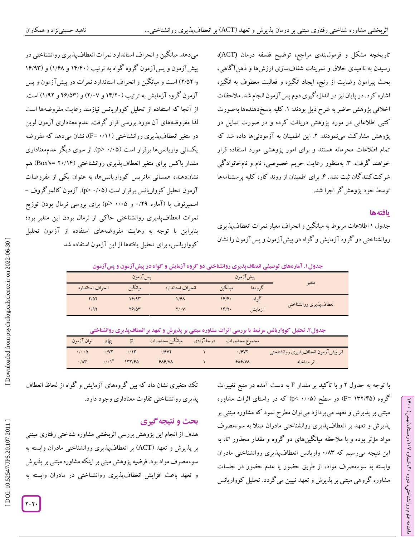تاریخچه مشکل و فرمولبندی مراجع، توضیح فلسفه درمان (ACT(، رسیدن به ناامیدی خالق و تمرینات شفافسازی ارزشها و ذهنآگاهی، بحث پیرامون رضایت از رنج، ایجاد انگیزه و فعالیت معطوف به انگیزه اشاره کرد. در پایان نیز در اندازهگیری دوم پسآزمون انجام شد. مالحظات اخالقی پژوهش حاضر به شرح ذیل بودند: .0 کلیه پاسخدهندهها بهصورت کتبی اطالعاتی در مورد پژوهش دریافت کرده و در صورت تمایل در پژوهش مشارکت مینمودند. ۲. این اطمینان به آزمودنیها داده شد که تمام اطالعات محرمانه هستند و برای امور پژوهشی مورد استفاده قرار خواهند گرفت. ۳. بهمنظور رعایت حریم خصوصی، نام و نامخانوادگی شرکتکنندگان ثبت نشد. ۴. برای اطمینان از روند کار، کلیه پرسشنامهها توسط خود پژوهشگر اجرا شد.

#### **یافتهها**

るこ

، زمستان)بهمن( 012

، شماره 61

ماهنامه علوم روانشناختی، دوره

جدول ۱ اطلاعات مربوط به میانگین و انحراف معیار نمرات انعطاف پدیری روانشناختی دو گروه آزمایش و گواه در پیشآزمون و پسآزمون را نشان

میدهد. میانگین و انحراف استاندارد نمرات انعطافپذیری روانشناختی در پیش آزمون و پس آزمون کروه کواه به ترتیب (۱۴/۴۰ و ۱۶/۹۳) و (۱۶/۹۳ و ۲۵۲) است و میانگین و انحراف استاندارد نمرات در پیش آزمون و پس ازمون کروه آزمایش به ترتیب (۱۴/۲۰ و ۲/۰۷) و (۲۶/۵۳ و ۱/۹۲) است. از آنجا که استفاده از تحلیل کوواریانس نیازمند رعایت مفروضهها است لذا مفروضههای آن مورد بررسی قرار گرفت. عدم معناداری آزمون لوین در متغیر انعطافپذیری روانشناختی (۱۱/۰=F)، نشان میدهد که مفروضه یکسانی واریانس۱ها برقرار است (۰/۰۵ <p). از سوی دیگر عدمهعناداری مقدار باکس برای متغیر انعطافپذیری روانشناختی (Box's= ۲۰/۱۴) هم نشاندهنده همسانی ماتریس کوواریانسها، به عنوان یکی از مفروضات<br>آزمون تحلیل کوواریانس برقرار است (۰/۰۵–p). آزمون کالموگروف –<br>اسمیرنوف با (آماره ۰/۲۹ و ۰/۰۵–p) برای بررسی نرمال بودن توزیع<br>نمرات انعطافپذیری روانشناختی حاکی از بنابراین با توجه به رعایت مفروضههای استفاده از آزمون تحلیل کوواریانس، برای تحلیل یافتهها از این آزمون استفاده شد

**پسآزمون گواه در پیشآزمون و . آمارههای توصیفی انعطافپذیری روانشناختی دو گروه آزمایش و جدول0**

| يس آزمون         |         |                  |         | پیشآزمون |                         |
|------------------|---------|------------------|---------|----------|-------------------------|
| انحراف استاندارد | ميانگين | انحراف استاندارد | ميانكين | گر وهها  | متغير                   |
| $Y/\Delta Y$     | ۱۶/۹۳   | 1/98             | 1F/F.   | گو اه    |                         |
| 1/92             | 79105   | 71.V             | 1F/Y    | آزمايش   | انعطاف پذیری روانشناختی |

**. تحلیل کوواریانس مرتبط با بررسی اثرات مشاوره مبتنی بر پذیرش و تعهد بر انعطافپذیری روانشناختی جدول6**

| توان آزمون                 | sig                  | F      | مجموع مجذورات درجهٔآزادی میانگین مجذورات |        |                                      |
|----------------------------|----------------------|--------|------------------------------------------|--------|--------------------------------------|
| $\cdot$ / $\cdot$ $\Delta$ | .1Y                  |        | .79YY                                    | .79YY  | اثر پیش آزمون انعطافپذیری روانشناختی |
| $\cdot/\Lambda r$          | $\cdot$ / $\cdot$ \* | 147/60 | $P$ $N$ $P$ $N$ $N$                      | 9A9/NA | اثر مداخله                           |

با توجه به جدول ۲ و با تأکید بر مقدار F به دست آمده در منبع تغییرات گروه (۱۳۲/۴۵ =F) در سطح (۰/۰۵ >p) که در راستای اثرات مشاوره مبتنی بر پذیرش و تعهد میپردازد میتوان مطرح نمود که مشاوره مبتنی بر پذیرش و تعهد بر انعطافپذیری روانشناختی مادران مبتال به سوءمصرف مواد مؤثر بوده و با مالحظه میانگینهای دو گروه و مقدار مجذور اتا، به این نتیجه میرسیم که ۰/۸۳ واریانس انعطافپذیری روانشناختی مادران وابسته به سوءمصرف مواد، از طریق حضور یا عدم حضور در جلسات مشاوره گروهی مبتنی بر پذیرش و تعهد تبیین میگردد. تحلیل کوواریانس

تک متغیری نشان داد که بین گروههای آزمایش و گواه از لحاظ انعطاف<br>پذیری روانشناختی تفاوت معناداری وجود دارد.<br>**بحث و نتیجه گیری** 

هدف از انجام این پژوهش بررسی اثربخشی مشاوره شناختی رفتاری مبتنی بر پذیرش و تعهد )ACT )بر انعطافپذیری روانشناختی مادران وابسته به سوءمصرف مواد بود. فرضیه پژوهش مبنی بر اینکه مشاوره مبتنی بر پذیرش و تعهد باعث افزایش انعطافپذیری روانشناختی در مادران وابسته به

Downloaded from psychologicalscien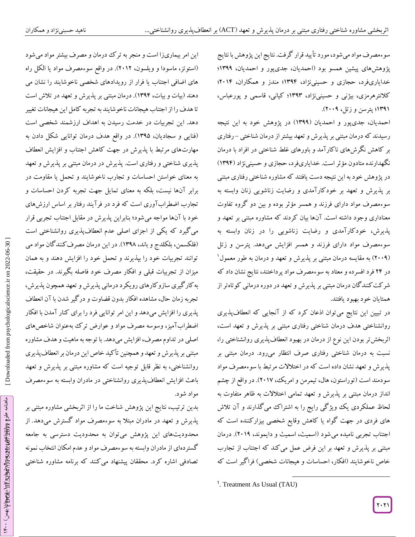سوءمصرف مواد میشود، مورد تأیید قرار گرفت. نتایج این پژوهش با نتایج پژوهشهای پیشین همسو بود (احمدیان، جدیپور و احمدیان، ۱۳۹۹؛ خدایاریفرد، حجازی و حسینی $\mathfrak{t}$ ۰۱۴؛ مندز و همکاران، ۲۰۱۴؛ کالنترهرمزی، بیژنی و حسینینژاد، 0303؛ کیانی، قاسمی و پورعباس، 0300؛ پترسن و زتل، 6110(.

احمدیان، جدی $_{\rm q}$ ر و احمدیان (۱۳۹۹) در پژوهش خود به این نتیجه رسیدند که درمان مبتنی بر پدیرش و تعهد بیشتر از درمان شناختی – رفتاری بر کاهش نکرشهای ناکار آمد و باورهای غلط شناختی در افراد با درمان نگهدارنده متادون مؤثر است. خدایاریفرد، حجازی و حسینینژاد )0300( در پژوهش خود به این نتیجه دست یافتند که مشاوره شناختی رفتاری مبتنی<br>بر پذیرش و تعهد بر خودکارآمدی و رضایت زناشویی زنان وابسته به سوءمصرف مواد دارای فرزند و همسر مؤثر بوده و بین دو کروه تفاوت معناداری وجود داشته است. آنها بیان کردند که مشاوره مبتنی بر تعهد و پذیرش، خودکارآمدی و رضایت زناشویی را در زنان وابسته به سوءمصرف مواد دارای فرزند و همسر افزایش میدهد. پترسن و زتل (۲۰۰۹) به مقایسه درمان مبتنی بر پذیرش و تعهد و درمان به طور معمول<sup>۱</sup> در 60 فرد افسرده و معتاد به سوءمصرف مواد پرداختند، نتایج نشان داد که شرکتکنندگان درمان مبتنی بر پذیرش و تعهد در دوره درمانی کوتاهتر از همتایان خود بهبود یافتند.

در تبیین این نتایج میتوان اذعان کرد که از آنجایی که انعطافپذیری روانشناختی هدف درمان شناختی رفتاری مبتنی بر پدیرش و تعهد است، اثربخش تر بودن این نوع از درمان در بهبود انعطافپذیری روانشناختی را، نسبت به درمان شناختی رفتاری صرف انتظار میرود. درمان مبتنی بر پذیرش و تعهد نشان داده است که در اختالالت مرتبط با سوءمصرف مواد سودمند است )توراستون، هال، تیمرمن و امریک، 6102(. در واقع از چشم انداز درمان مبتنی بر پذیرش و تعهد تمامی اختالالت به ظاهر متفاوت به لحاظ عملکردی یک ویژگی رایج را به اشتراک میگذارند و آن تلاش های فردی در جهت گواه یا کاهش وقایع شخصی بیزارکننده است که اجتناب تجربی نامیده میشود )اسمیث، اسمیث و دایموند، 6100(. درمان مبتنی بر پذیرش و تعهد بر این فرض عمل میکند که اجتناب از تجارب خاص ناخوشایند )افکار، احساسات و هیجانات شخصی( فراگیر است که

 $\overline{\phantom{a}}$ 

این امر بیماریزا است و منجر به ترک درمان و مصرف بیشتر مواد میشود )استوتز، ماسودا و ویلسون، 6106(. در واقع سوءمصرف مواد یا الکل راه های اضافی اجتناب یا فرار از رویدادهای شخصی ناخوشایند را نشان می دهند )بیات و بیات، 0300(. درمان مبتنی بر پذیرش و تعهد در تالش است تا هدف را از اجتناب هیجانات ناخوشایند به تجربه کامل این هیجانات تغییر دهد. این تجربیات در خدمت رسیدن به اهداف ارزشمند شخصی است )فنایی و سجادیان، 0301(. در واقع هدف درمان توانایی شکل دادن به مهارتهای مرتبط با پذیرش در جهت کاهش اجتناب و افزایش انعطاف پذیری شناختی و رفتاری است. پذیرش در درمان مبتنی بر پذیرش و تعهد به معنای خواستن احساسات و تجارب ناخوشایند و تحمل یا مقاومت در برابر آنها نیست، بلکه به معنای تمایل جهت تجربه کردن احساسات و تجارب اضطراب اوری است که فرد در فرآیند رفتار بر اساس ارزشهای خود با آنها مواجه می شود؛ بنابراین پدیرش در مقابل اجتناب تجربی قرار میگیرد که یکی از اجزای اصلی عدم انعطافپذیری روانشناختی است )فلکسمن، بلکلدج و باند، 0301(. در این درمان مصرفکنندگان مواد می توانند تجربیات خود را بپذیرند و تحمل خود را افزایش دهند و به همان میزان از تجربیات قبلی و افکار مصرف خود فاصله بگیرند. در حقیقت، بهکارگیری سازوکارهای رویکرد درمانی پذیرش و تعهد همچون پذیرش، تجربه زمان حال، مشاهده افکار بدون قضاوت و درگیر شدن با آن انعطاف پذیری را افزایش میدهد و این امر توانایی فرد را برای کنار آمدن با افکار اضطرابآمیز، وسوسه مصرف مواد و عوارض ترک بهعنوان شاخصهای اصلی در تداوم مصرف، افزایش میدهد. با توجه به ماهیت و هدف مشاوره ی مبتنی بر پذیرش و تعهد و همچنین تأکید خاص این درمان بر انعطافپذیر روانشناختی، به نظر قابل توجیه است که مشاوره مبتنی بر پذیرش و تعهد باعث افزایش انعطافپذیری روانشناختی در مادران وابسته به سوءمصرف مواد شود.

بدین ترتیب، نتایج این پژوهش شناخت ما را از اتربخشی مشاوره مبتنی بر پذیرش و تعهد در مادران مبتلا به سوءمصرف مواد گسترش میدهد. از محدودیتهای این پژوهش میتوان به محدودیت دسترسی به جامعه گستردهای از مادران وابسته به سوءمصرف موادو عدمامکان انتخاب نمونه تصادفی اشاره کرد. محققان پیشنهاد می کنند که برنامه مشاوره شناختی

<sup>1</sup> . Treatment As Usual (TAU)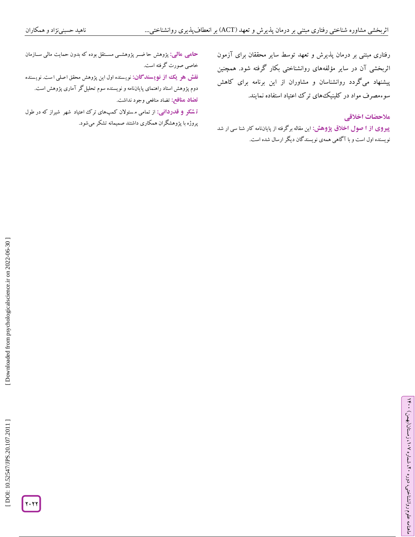رفتاری مبتنی بر درمان پدیرش و تعهد توسط سایر محققان برای آزمون اثربخشی آن در سایر مؤلفههای روانشناختی بکار کرفته شود. همچنین کاهش برنامه برای گردد روانشناسان و مشاوران از این سوءمصرف مواد در کلینیک<sup>ی</sup>های ترک اعتیاد استفاده نمایند.<br>هل<del>احضات اخلاق</del>ی

**پیروی از آ صول اخلاق پژوهش: ای**ن مقاله برگرفته از پایاننامه کار شنا سی ار شد نویسنده اول است و با آگاهی همهی نویسندگان دیگر ارسال شده است.

<mark>مالی:</mark> پژوهش حا ضــر پژوهشــی مســتقل بوده که بدون حمایت مالی ســازمان خاصی صورت گرفته است. **حامی**

<mark>نقش هو یک از نویسندگان:</mark> نویسنده اول این پژوهش محقق اصلی است. نویسنده

دوم پژوهش استاد راهنمای پایاننامه و نویسنده سوم تحلیلگر آماری پژوهش است. تضاد منافعی وجود نداشت. **تضاد منافع:**

**` تسکر و قدردانی:** از تمامی مسئولان کمپهای ترک اعتیاد شهر شیراز که در طول پروژه با پژوهشگران همکاری داشتند صمیمانه تشکر میشود.

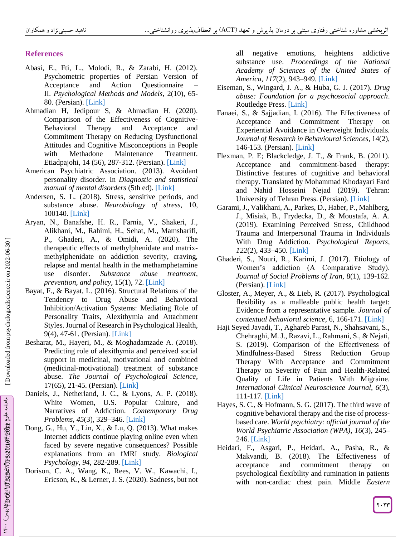## **References**

- Abasi, E., Fti, L., Molodi, R., & Zarabi, H. (2012). Psychometric properties of Persian Version of Acceptance and Action Questionnaire – II. *Psychological Methods and Models*, 2(10), 65 - 80. (Persian). [\[Link\]](http://jpmm.miau.ac.ir/article_61.html?lang=en)
- Ahmadian H, Jedipour S, & Ahmadian H. (2020). Comparison of the Effectiveness of Cognitive - Behavioral Therapy and Acceptance and Commitment Therapy on Reducing Dysfunctional Attitudes and Cognitive Misconceptions in People with Methadone Maintenance Treatment. Etiadpajohi, 14 (56), 287 -312. (Persian). [\[Link\]](https://etiadpajohi.ir/article-1-2118-fa.html)
- American Psychiatric Association. (2013). Avoidant personality disorder. In *Diagnostic and statistical manual of mental disorders* (5th ed). [\[Link\]](https://www.psychiatry.org/patients-families/personality-disorders/what-are-personality-disorders)
- Andersen, S. L. (2018). Stress, sensitive periods, and substance abuse. *Neurobiology of stress*, 10, 100140[. \[Link\]](https://doi.org/10.1016/j.ynstr.2018.100140)
- Aryan, N., Banafshe, H. R., Farnia, V., Shakeri, J., Alikhani, M., Rahimi, H., Sehat, M., Mamsharifi, P., Ghaderi, A., & Omidi, A. (2020). The therapeutic effects of methylphenidate and matrix methylphenidate on addiction severity, craving, relapse and mental health in the methamphetamine use disorder. *Substance abuse treatment, prevention, and policy*, 15(1), 72. [\[Link\]](https://substanceabusepolicy.biomedcentral.com/articles/10.1186/s13011-020-00317-y)
- Bayat, F., & Bayat, L. (2016). Structural Relations of the Tendency to Drug Abuse and Behavioral Inhibition/Activation Systems: Mediating Role of Personality Traits, Alexithymia and Attachment Styles. Journal of Research in Psychological Health, 9(4), 47 -61. (Persian). [\[Link\]](https://rph.khu.ac.ir/article-1-2615-fa.html)
- Besharat, M., Hayeri, M., & Moghadamzade A. (2018). Predicting role of alexithymia and perceived social support in medicinal, motivational and combined (medicinal -motivational) treatment of substance abuse. *The Journal of Psychological Science*, 17(65), 21 -45. (Persian). [\[Link\]](https://psychologicalscience.ir/article-1-106-fa.html)
- Daniels, J., Netherland, J. C., & Lyons, A. P. (2018). White Women, U.S. Popular Culture, and Narratives of Addiction. *Contemporary Drug Problems* , *45*(3), 329 –346. [\[Link\]](https://journals.sagepub.com/doi/abs/10.1177/0091450918766914?journalCode=cdxa)
- Dong, G., Hu, Y., Lin, X., & Lu, Q. (2013). What makes Internet addicts continue playing online even when faced by severe negative consequences? Possible explanations from an fMRI study. *Biological Psychology, 94*, 282 -289. [\[Link\]](https://pubmed.ncbi.nlm.nih.gov/23933447/)
- Dorison, C. A., Wang, K., Rees, V. W., Kawachi, I., Ericson, K., & Lerner, J. S. (2020). Sadness, but not

all negative emotions, heightens addictive substance use. *Proceedings of the National Academy of Sciences of the United States of America* , *117*(2), 943 –949. [\[Link\]](https://pubmed.ncbi.nlm.nih.gov/31888990/)

- Eiseman, S., Wingard, J. A., & Huba, G. J. (2017). *Drug abuse: Foundation for a psychosocial approach*. Routledge Press. [\[Link\]](https://www.routledge.com/Drug-Abuse-Foundation-for-a-Psychosocial-Approach/Eiseman-Wingard-Huba/p/book/9780895030399)
- Fanaei, S., & Sajjadian, I. (2016). The Effectiveness of Acceptance and Commitment Therapy on Experiential Avoidance in Overweight Individuals. *Journal of Research in Behavioural Sciences*, 14(2), 146 -153. (Persian)[. \[Link\]](https://rbs.mui.ac.ir/article-1-459-fa.html)
- Flexman, P. E; Blackcledge, J. T., & Frank, B. (2011). Acceptance and commitment -based therapy: Distinctive features of cognitive and behavioral therapy. Translated by Mohammad Khodayari Fard and Nahid Hosseini Nejad (2019). Tehran: University of Tehran Press. (Persian). [\[Link\]](https://www.routledge.com/Acceptance-and-Commitment-Therapy-Distinctive-Features/Flaxman-Blackledge-Bond/p/book/9780415450669)
- Garami, J., Valikhani, A., Parkes, D., Haber, P., Mahlberg, J., Misiak, B., Frydecka, D., & Moustafa, A. A. (2019). Examining Perceived Stress, Childhood Trauma and Interpersonal Trauma in Individuals With Drug Addiction. *Psychological Reports* , *122*(2), 433 –450. [\[Link\]](https://pubmed.ncbi.nlm.nih.gov/29569991/)
- Ghaderi, S., Nouri, R., Karimi, J. (2017). Etiology of Women's addiction (A Comparative Study). *Journal of Social Problems of Iran*, 8(1), 139 -162. (Persian)[. \[Link\]](https://ijsp.ut.ac.ir/article_64137.html?lang=en)
- Gloster, A., Meyer, A., & Lieb, R. (2017). Psychological flexibility as a malleable public health target: Evidence from a representative sample. *Journal of contextual behavioral science*, 6, 166 -171. [\[Link\]](https://www.sciencedirect.com/science/article/abs/pii/S2212144717300066)
- Haji Seyed Javadi, T., Aghareb Parast, N., Shahsavani, S., Chehraghi, M. J., Razavi, L., Rahmani, S., & Nejati, S. (2019). Comparison of the Effectiveness of Mindfulness-Based Stress Reduction Group Therapy With Acceptance and Commitment Therapy on Severity of Pain and Health -Related Quality of Life in Patients With Migraine. *International Clinical Neuroscience Journal* , *6*(3), 111 -117. [\[Link\]](https://journals.sbmu.ac.ir/Neuroscience/article/view/25636)
- Hayes, S. C., & Hofmann, S. G. (2017). The third wave of cognitive behavioral therapy and the rise of process based care. *World psychiatry: official journal of the World Psychiatric Association (WPA)* , *16*(3), 245 – 246. [\[Link\]](https://www.ncbi.nlm.nih.gov/pmc/articles/PMC5608815/)
- Heidari, F., Asgari, P., Heidari, A., Pasha, R., & Makvandi, B. (2018). The Effectiveness of acceptance and commitment therapy on psychological flexibility and rumination in patients with non -cardiac chest pain. Middle *Eastern*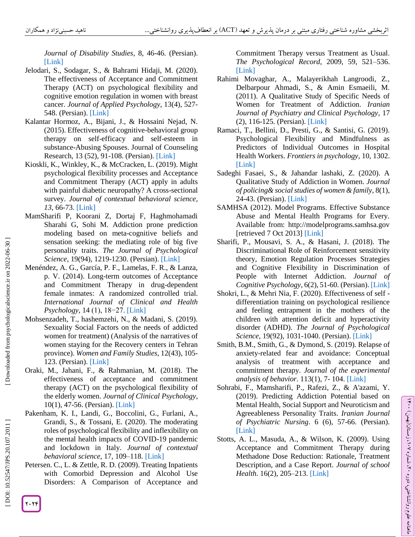*Journal of Disability Studies*, 8, 46 -46. (Persian). [\[Link\]](https://jdisabilstud.org/article-1-891-fa.html)

- Jelodari, S., Sodagar, S., & Bahrami Hidaji, M. (2020). The effectiveness of Acceptance and Commitment Therapy (ACT) on psychological flexibility and cognitive emotion regulation in women with breast cancer. *Journal of Applied Psychology*, 13(4), 527 - 548. (Persian). [\[Link\]](https://apsy.sbu.ac.ir/article_97266.html?lang=en)
- Kalantar Hormoz, A., Bijani, J., & Hossaini Nejad, N. (2015). Effectiveness of cognitive -behavioral group therapy on self-efficacy and self -esteem in substance -Abusing Spouses. Journal of Counseling Research, 13 (52), 91 -108. (Persian). [\[Link\]](http://irancounseling.ir/journal/article-1-112-fa.html&sw=)
- Kioskli, K., Winkley, K., & McCracken, L. (2019). Might psychological flexibility processes and Acceptance and Commitment Therapy (ACT) apply in adults with painful diabetic neuropathy? A cross -sectional survey. *Journal of contextual behavioral science, 13*, 66 -73. [\[Link\]](https://www.sciencedirect.com/science/article/abs/pii/S2212144719300456)
- MamSharifi P, Koorani Z, Dortaj F, Haghmohamadi Sharahi G, Sohi M. Addiction prone prediction modeling based on meta -cognitive beliefs and sensation seeking: the mediating role of big five personality traits. *The Journal of Psychological*  Science, 19(94), 1219-1230. (Persian). [\[Link\]](https://psychologicalscience.ir/article-1-753-fa.html)
- Menéndez, A. G., García, P. F., Lamelas, F. R., & Lanza, p. V. (2014). Long -term outcomes of Acceptance and Commitment Therapy in drug -dependent female inmates: A randomized controlled trial. *International Journal of Clinical and Health Psychology*, 14 (1), 18–27. [\[Link\]](https://www.sciencedirect.com/science/article/pii/S169726001470033X)
- Mohsenzadeh, T., hashemzehi, N., & Madani, S. (2019). Sexuality Social Factors on the needs of addicted women for treatment) (Analysis of the narratives of women staying for the Recovery centers in Tehran province). *Women and Family Studies*, 12(43), 105 - 123. (Persian). [\[Link\]](http://jwsf.iaut.ac.ir/article_668807.html?lang=en)
- Oraki, M., Jahani, F., & Rahmanian, M. (2018). The effectiveness of acceptance and commitment therapy (ACT) on the psychological flexibility of the elderly women. *Journal of Clinical Psychology*, 10(1), 47 -56. (Persian). [\[Link\]](https://jcp.semnan.ac.ir/article_3027.html?lang=en)
- Pakenham, K. I., Landi, G., Boccolini, G., Furlani, A., Grandi, S., & Tossani, E. (2020). The moderating roles of psychological flexibility and inflexibility on the mental health impacts of COVID -19 pandemic and lockdown in Italy. *Journal of contextual behavioral science*, 17, 109 –118. [\[Link\]](https://www.ncbi.nlm.nih.gov/pmc/articles/PMC7370913/)
- Petersen. C., L. & Zettle, R. D. (2009). Treating Inpatients with Comorbid Depression and Alcohol Use Disorders: A Comparison of Acceptance and

Commitment Therapy versus Treatment as Usual . *The Psychological Record*, 2009, 59, 521 –536. [\[Link\]](https://psycnet.apa.org/record/2009-21506-002)

- Rahimi Movaghar, A., Malayerikhah Langroodi, Z., Delbarpour Ahmadi, S., & Amin Esmaeili, M. (2011). A Qualitative Study of Specific Needs of Women for Treatment of Addiction. *Iranian Journal of Psychiatry and Clinical Psychology*, 17 (2), 116 -125. (Persian). [\[Link\]](http://ijpcp.iums.ac.ir/browse.php?a_id=1345&sid=1&slc_lang=fa)
- Ramaci, T., Bellini, D., Presti, G., & Santisi, G. (2019). Psychological Flexibility and Mindfulness as Predictors of Individual Outcomes in Hospital Health Workers. *Frontiers in psychology*, 10, 1302. [\[Link\]](https://www.ncbi.nlm.nih.gov/pmc/articles/PMC6582771/)
- Sadeghi Fasaei, S., & Jahandar lashaki, Z. (2020). A Qualitative Study of Addiction in Women. *Journal of policing& social studies of women & family,* 8(1), 24 -43. (Persian). [\[Link\]](http://pssw.jrl.police.ir/article_93826.html?lang=en)
- SAMHSA (2012). Model Programs. Effective Substance Abuse and Mental Health Programs for Every. Available from: http://modelprograms.samhsa.gov [retrieved 7 Oct 2013] [\[Link\]](http://modelprograms.samhsa.gov/)
- Sharifi, P., Mousavi, S. A., & Hasani, J. (2018). The Discriminational Role of Reinforcement sensitivity theory, Emotion Regulation Processes Strategies and Cognitive Flexibility in Discrimination of People with Internet Addiction. *Journal of Cognitive Psychology*, 6(2), 51 -60. (Persian). [\[Link\]](https://jcp.khu.ac.ir/article-1-2987-fa.html)
- Shokri, L., & Mehri Nia, F. (2020). Effectiveness of self differentiation training on psychological resilience and feeling entrapment in the mothers of the children with attention deficit and hyperactivity disorder (ADHD). *The Journal of Psychological Science,* 19(92), 1031 -1040. (Persian). [\[Link\]](https://psychologicalscience.ir/article-1-362-fa.html)
- Smith, B.M., Smith, G., & Dymond, S. (2019). Relapse of anxiety -related fear and avoidance: Conceptual analysis of treatment with acceptance and commitment therapy. *Journal of the experimental analysis of behavior*. 113(1), 7 - 104. [\[Link\]](https://onlinelibrary.wiley.com/doi/abs/10.1002/jeab.573)
- Sohrabi, F., Mamsharifi, P., Rafezi, Z., & A'azami, Y. (2019). Predicting Addiction Potential based on Mental Health, Social Support and Neuroticism and Agreeableness Personality Traits. *Iranian Journal of Psychiatric Nursing*. 6 (6), 57 -66. (Persian). [\[Link\]](http://ijpn.ir/article-1-1075-fa.html)
- Stotts, A. L., Masuda, A., & Wilson, K. (2009). Using Acceptance and Commitment Therapy during Methadone Dose Reduction: Rationale, Treatment Description, and a Case Report. *Journal of school Health*. 16(2), 205 –213. [\[Link\]](https://www.ncbi.nlm.nih.gov/pmc/articles/PMC2902188/)

[Downloaded from psychologicalscience.ir on 2022-06-30]